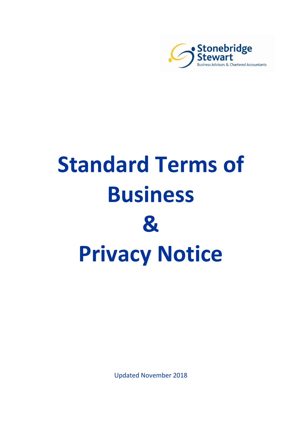

# **Standard Terms of Business & Privacy Notice**

Updated November 2018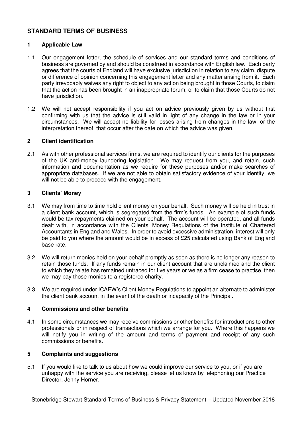# **STANDARD TERMS OF BUSINESS**

#### **1 Applicable Law**

- 1.1 Our engagement letter, the schedule of services and our standard terms and conditions of business are governed by and should be construed in accordance with English law. Each party agrees that the courts of England will have exclusive jurisdiction in relation to any claim, dispute or difference of opinion concerning this engagement letter and any matter arising from it. Each party irrevocably waives any right to object to any action being brought in those Courts, to claim that the action has been brought in an inappropriate forum, or to claim that those Courts do not have jurisdiction.
- 1.2 We will not accept responsibility if you act on advice previously given by us without first confirming with us that the advice is still valid in light of any change in the law or in your circumstances. We will accept no liability for losses arising from changes in the law, or the interpretation thereof, that occur after the date on which the advice was given.

#### **2 Client identification**

2.1 As with other professional services firms, we are required to identify our clients for the purposes of the UK anti-money laundering legislation. We may request from you, and retain, such information and documentation as we require for these purposes and/or make searches of appropriate databases. If we are not able to obtain satisfactory evidence of your identity, we will not be able to proceed with the engagement.

#### **3 Clients' Money**

- 3.1 We may from time to time hold client money on your behalf. Such money will be held in trust in a client bank account, which is segregated from the firm's funds. An example of such funds would be tax repayments claimed on your behalf. The account will be operated, and all funds dealt with, in accordance with the Clients' Money Regulations of the Institute of Chartered Accountants in England and Wales. In order to avoid excessive administration, interest will only be paid to you where the amount would be in excess of £25 calculated using Bank of England base rate.
- 3.2 We will return monies held on your behalf promptly as soon as there is no longer any reason to retain those funds. If any funds remain in our client account that are unclaimed and the client to which they relate has remained untraced for five years or we as a firm cease to practise, then we may pay those monies to a registered charity.
- 3.3 We are required under ICAEW's Client Money Regulations to appoint an alternate to administer the client bank account in the event of the death or incapacity of the Principal.

#### **4 Commissions and other benefits**

4.1 In some circumstances we may receive commissions or other benefits for introductions to other professionals or in respect of transactions which we arrange for you. Where this happens we will notify you in writing of the amount and terms of payment and receipt of any such commissions or benefits.

### **5 Complaints and suggestions**

5.1 If you would like to talk to us about how we could improve our service to you, or if you are unhappy with the service you are receiving, please let us know by telephoning our Practice Director, Jenny Horner.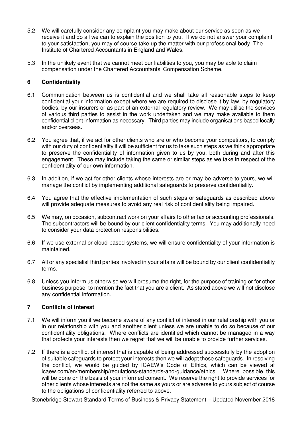- 5.2 We will carefully consider any complaint you may make about our service as soon as we receive it and do all we can to explain the position to you. If we do not answer your complaint to your satisfaction, you may of course take up the matter with our professional body, The Institute of Chartered Accountants in England and Wales.
- 5.3 In the unlikely event that we cannot meet our liabilities to you, you may be able to claim compensation under the Chartered Accountants' Compensation Scheme.

## **6 Confidentiality**

- 6.1 Communication between us is confidential and we shall take all reasonable steps to keep confidential your information except where we are required to disclose it by law, by regulatory bodies, by our insurers or as part of an external regulatory review. We may utilise the services of various third parties to assist in the work undertaken and we may make available to them confidential client information as necessary. Third parties may include organisations based locally and/or overseas.
- 6.2 You agree that, if we act for other clients who are or who become your competitors, to comply with our duty of confidentiality it will be sufficient for us to take such steps as we think appropriate to preserve the confidentiality of information given to us by you, both during and after this engagement. These may include taking the same or similar steps as we take in respect of the confidentiality of our own information.
- 6.3 In addition, if we act for other clients whose interests are or may be adverse to yours, we will manage the conflict by implementing additional safeguards to preserve confidentiality.
- 6.4 You agree that the effective implementation of such steps or safeguards as described above will provide adequate measures to avoid any real risk of confidentiality being impaired.
- 6.5 We may, on occasion, subcontract work on your affairs to other tax or accounting professionals. The subcontractors will be bound by our client confidentiality terms. You may additionally need to consider your data protection responsibilities.
- 6.6 If we use external or cloud-based systems, we will ensure confidentiality of your information is maintained.
- 6.7 All or any specialist third parties involved in your affairs will be bound by our client confidentiality terms.
- 6.8 Unless you inform us otherwise we will presume the right, for the purpose of training or for other business purpose, to mention the fact that you are a client. As stated above we will not disclose any confidential information.

### **7 Conflicts of interest**

- 7.1 We will inform you if we become aware of any conflict of interest in our relationship with you or in our relationship with you and another client unless we are unable to do so because of our confidentiality obligations. Where conflicts are identified which cannot be managed in a way that protects your interests then we regret that we will be unable to provide further services.
- 7.2 If there is a conflict of interest that is capable of being addressed successfully by the adoption of suitable safeguards to protect your interests then we will adopt those safeguards. In resolving the conflict, we would be guided by ICAEW's Code of Ethics, which can be viewed at icaew.com/en/membership/regulations-standards-and-guidance/ethics. Where possible this will be done on the basis of your informed consent. We reserve the right to provide services for other clients whose interests are not the same as yours or are adverse to yours subject of course to the obligations of confidentiality referred to above.

Stonebridge Stewart Standard Terms of Business & Privacy Statement – Updated November 2018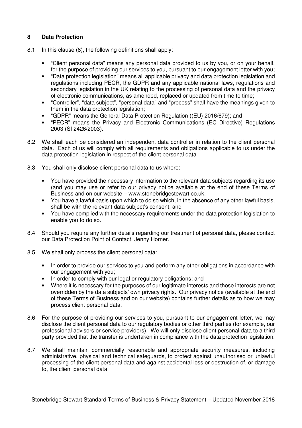# **8 Data Protection**

- 8.1 In this clause (8), the following definitions shall apply:
	- "Client personal data" means any personal data provided to us by you, or on your behalf, for the purpose of providing our services to you, pursuant to our engagement letter with you;
	- "Data protection legislation" means all applicable privacy and data protection legislation and regulations including PECR, the GDPR and any applicable national laws, regulations and secondary legislation in the UK relating to the processing of personal data and the privacy of electronic communications, as amended, replaced or updated from time to time;
	- "Controller", "data subject", "personal data" and "process" shall have the meanings given to them in the data protection legislation;
	- "GDPR" means the General Data Protection Regulation ((EU) 2016/679); and
	- "PECR" means the Privacy and Electronic Communications (EC Directive) Regulations 2003 (SI 2426/2003).
- 8.2 We shall each be considered an independent data controller in relation to the client personal data. Each of us will comply with all requirements and obligations applicable to us under the data protection legislation in respect of the client personal data.
- 8.3 You shall only disclose client personal data to us where:
	- You have provided the necessary information to the relevant data subjects regarding its use (and you may use or refer to our privacy notice available at the end of these Terms of Business and on our website – www.stonebridgestewart.co.uk.
	- You have a lawful basis upon which to do so which, in the absence of any other lawful basis, shall be with the relevant data subject's consent; and
	- You have complied with the necessary requirements under the data protection legislation to enable you to do so.
- 8.4 Should you require any further details regarding our treatment of personal data, please contact our Data Protection Point of Contact, Jenny Horner.
- 8.5 We shall only process the client personal data:
	- In order to provide our services to you and perform any other obligations in accordance with our engagement with you;
	- In order to comply with our legal or regulatory obligations; and
	- Where it is necessary for the purposes of our legitimate interests and those interests are not overridden by the data subjects' own privacy rights. Our privacy notice (available at the end of these Terms of Business and on our website) contains further details as to how we may process client personal data.
- 8.6 For the purpose of providing our services to you, pursuant to our engagement letter, we may disclose the client personal data to our regulatory bodies or other third parties (for example, our professional advisors or service providers). We will only disclose client personal data to a third party provided that the transfer is undertaken in compliance with the data protection legislation.
- 8.7 We shall maintain commercially reasonable and appropriate security measures, including administrative, physical and technical safeguards, to protect against unauthorised or unlawful processing of the client personal data and against accidental loss or destruction of, or damage to, the client personal data.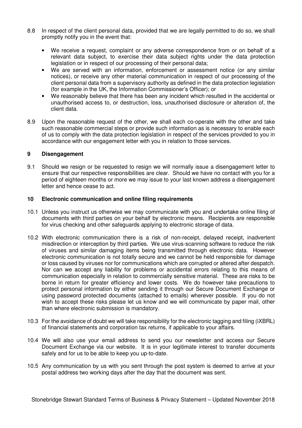- 8.8 In respect of the client personal data, provided that we are legally permitted to do so, we shall promptly notify you in the event that:
	- We receive a request, complaint or any adverse correspondence from or on behalf of a relevant data subject, to exercise their data subject rights under the data protection legislation or in respect of our processing of their personal data;
	- We are served with an information, enforcement or assessment notice (or any similar notices), or receive any other material communication in respect of our processing of the client personal data from a supervisory authority as defined in the data protection legislation (for example in the UK, the Information Commissioner's Officer); or
	- We reasonably believe that there has been any incident which resulted in the accidental or unauthorised access to, or destruction, loss, unauthorised disclosure or alteration of, the client data.
- 8.9 Upon the reasonable request of the other, we shall each co-operate with the other and take such reasonable commercial steps or provide such information as is necessary to enable each of us to comply with the data protection legislation in respect of the services provided to you in accordance with our engagement letter with you in relation to those services.

## **9 Disengagement**

9.1 Should we resign or be requested to resign we will normally issue a disengagement letter to ensure that our respective responsibilities are clear. Should we have no contact with you for a period of eighteen months or more we may issue to your last known address a disengagement letter and hence cease to act.

### **10 Electronic communication and online filing requirements**

- 10.1 Unless you instruct us otherwise we may communicate with you and undertake online filing of documents with third parties on your behalf by electronic means. Recipients are responsible for virus checking and other safeguards applying to electronic storage of data.
- 10.2 With electronic communication there is a risk of non-receipt, delayed receipt, inadvertent misdirection or interception by third parties. We use virus-scanning software to reduce the risk of viruses and similar damaging items being transmitted through electronic data. However electronic communication is not totally secure and we cannot be held responsible for damage or loss caused by viruses nor for communications which are corrupted or altered after despatch. Nor can we accept any liability for problems or accidental errors relating to this means of communication especially in relation to commercially sensitive material. These are risks to be borne in return for greater efficiency and lower costs. We do however take precautions to protect personal information by either sending it through our Secure Document Exchange or using password protected documents (attached to emails) wherever possible. If you do not wish to accept these risks please let us know and we will communicate by paper mail, other than where electronic submission is mandatory.
- 10.3 For the avoidance of doubt we will take responsibility for the electronic tagging and filing (iXBRL) of financial statements and corporation tax returns, if applicable to your affairs.
- 10.4 We will also use your email address to send you our newsletter and access our Secure Document Exchange via our website. It is in your legitimate interest to transfer documents safely and for us to be able to keep you up-to-date.
- 10.5 Any communication by us with you sent through the post system is deemed to arrive at your postal address two working days after the day that the document was sent.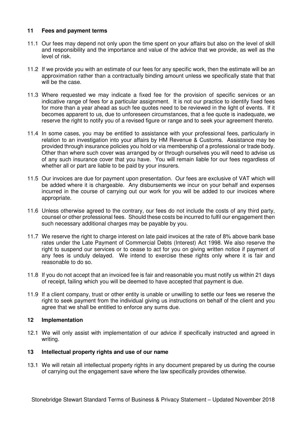#### **11 Fees and payment terms**

- 11.1 Our fees may depend not only upon the time spent on your affairs but also on the level of skill and responsibility and the importance and value of the advice that we provide, as well as the level of risk.
- 11.2 If we provide you with an estimate of our fees for any specific work, then the estimate will be an approximation rather than a contractually binding amount unless we specifically state that that will be the case.
- 11.3 Where requested we may indicate a fixed fee for the provision of specific services or an indicative range of fees for a particular assignment. It is not our practice to identify fixed fees for more than a year ahead as such fee quotes need to be reviewed in the light of events. If it becomes apparent to us, due to unforeseen circumstances, that a fee quote is inadequate, we reserve the right to notify you of a revised figure or range and to seek your agreement thereto.
- 11.4 In some cases, you may be entitled to assistance with your professional fees, particularly in relation to an investigation into your affairs by HM Revenue & Customs. Assistance may be provided through insurance policies you hold or via membership of a professional or trade body. Other than where such cover was arranged by or through ourselves you will need to advise us of any such insurance cover that you have. You will remain liable for our fees regardless of whether all or part are liable to be paid by your insurers.
- 11.5 Our invoices are due for payment upon presentation. Our fees are exclusive of VAT which will be added where it is chargeable. Any disbursements we incur on your behalf and expenses incurred in the course of carrying out our work for you will be added to our invoices where appropriate.
- 11.6 Unless otherwise agreed to the contrary, our fees do not include the costs of any third party, counsel or other professional fees. Should these costs be incurred to fulfil our engagement then such necessary additional charges may be payable by you.
- 11.7 We reserve the right to charge interest on late paid invoices at the rate of 8% above bank base rates under the Late Payment of Commercial Debts (Interest) Act 1998. We also reserve the right to suspend our services or to cease to act for you on giving written notice if payment of any fees is unduly delayed. We intend to exercise these rights only where it is fair and reasonable to do so.
- 11.8 If you do not accept that an invoiced fee is fair and reasonable you must notify us within 21 days of receipt, failing which you will be deemed to have accepted that payment is due.
- 11.9 If a client company, trust or other entity is unable or unwilling to settle our fees we reserve the right to seek payment from the individual giving us instructions on behalf of the client and you agree that we shall be entitled to enforce any sums due.

## **12 Implementation**

12.1 We will only assist with implementation of our advice if specifically instructed and agreed in writing.

#### **13 Intellectual property rights and use of our name**

13.1 We will retain all intellectual property rights in any document prepared by us during the course of carrying out the engagement save where the law specifically provides otherwise.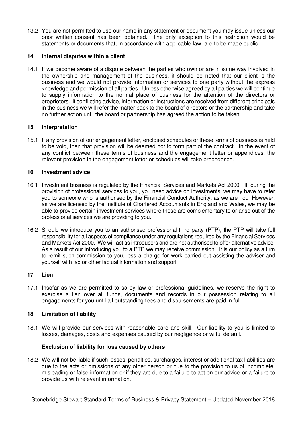13.2 You are not permitted to use our name in any statement or document you may issue unless our prior written consent has been obtained. The only exception to this restriction would be statements or documents that, in accordance with applicable law, are to be made public.

### **14 Internal disputes within a client**

14.1 If we become aware of a dispute between the parties who own or are in some way involved in the ownership and management of the business, it should be noted that our client is the business and we would not provide information or services to one party without the express knowledge and permission of all parties. Unless otherwise agreed by all parties we will continue to supply information to the normal place of business for the attention of the directors or proprietors. If conflicting advice, information or instructions are received from different principals in the business we will refer the matter back to the board of directors or the partnership and take no further action until the board or partnership has agreed the action to be taken.

### **15 Interpretation**

15.1 If any provision of our engagement letter, enclosed schedules or these terms of business is held to be void, then that provision will be deemed not to form part of the contract. In the event of any conflict between these terms of business and the engagement letter or appendices, the relevant provision in the engagement letter or schedules will take precedence.

## **16 Investment advice**

- 16.1 Investment business is regulated by the Financial Services and Markets Act 2000. If, during the provision of professional services to you, you need advice on investments, we may have to refer you to someone who is authorised by the Financial Conduct Authority, as we are not. However, as we are licensed by the Institute of Chartered Accountants in England and Wales, we may be able to provide certain investment services where these are complementary to or arise out of the professional services we are providing to you.
- 16.2 Should we introduce you to an authorised professional third party (PTP), the PTP will take full responsibility for all aspects of compliance under any regulations required by the Financial Services and Markets Act 2000. We will act as introducers and are not authorised to offer alternative advice. As a result of our introducing you to a PTP we may receive commission. It is our policy as a firm to remit such commission to you, less a charge for work carried out assisting the adviser and yourself with tax or other factual information and support.

### **17 Lien**

17.1 Insofar as we are permitted to so by law or professional guidelines, we reserve the right to exercise a lien over all funds, documents and records in our possession relating to all engagements for you until all outstanding fees and disbursements are paid in full.

# **18 Limitation of liability**

18.1 We will provide our services with reasonable care and skill. Our liability to you is limited to losses, damages, costs and expenses caused by our negligence or wilful default.

# **Exclusion of liability for loss caused by others**

18.2 We will not be liable if such losses, penalties, surcharges, interest or additional tax liabilities are due to the acts or omissions of any other person or due to the provision to us of incomplete, misleading or false information or if they are due to a failure to act on our advice or a failure to provide us with relevant information.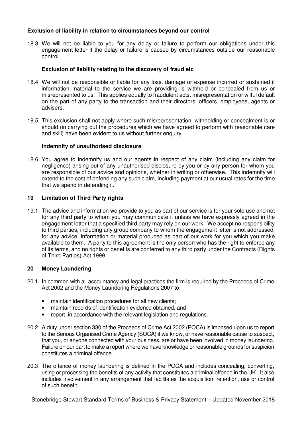## **Exclusion of liability in relation to circumstances beyond our control**

18.3 We will not be liable to you for any delay or failure to perform our obligations under this engagement letter if the delay or failure is caused by circumstances outside our reasonable control.

## **Exclusion of liability relating to the discovery of fraud etc**

- 18.4 We will not be responsible or liable for any loss, damage or expense incurred or sustained if information material to the service we are providing is withheld or concealed from us or misrepresented to us. This applies equally to fraudulent acts, misrepresentation or wilful default on the part of any party to the transaction and their directors, officers, employees, agents or advisers.
- 18.5 This exclusion shall not apply where such misrepresentation, withholding or concealment is or should (in carrying out the procedures which we have agreed to perform with reasonable care and skill) have been evident to us without further enquiry.

#### **Indemnity of unauthorised disclosure**

18.6 You agree to indemnify us and our agents in respect of any claim (including any claim for negligence) arising out of any unauthorised disclosure by you or by any person for whom you are responsible of our advice and opinions, whether in writing or otherwise. This indemnity will extend to the cost of defending any such claim, including payment at our usual rates for the time that we spend in defending it.

#### **19 Limitation of Third Party rights**

19.1 The advice and information we provide to you as part of our service is for your sole use and not for any third party to whom you may communicate it unless we have expressly agreed in the engagement letter that a specified third party may rely on our work. We accept no responsibility to third parties, including any group company to whom the engagement letter is not addressed, for any advice, information or material produced as part of our work for you which you make available to them. A party to this agreement is the only person who has the right to enforce any of its terms, and no rights or benefits are conferred to any third party under the Contracts (Rights of Third Parties) Act 1999.

### **20 Money Laundering**

- 20.1 In common with all accountancy and legal practices the firm is required by the Proceeds of Crime Act 2002 and the Money Laundering Regulations 2007 to:
	- maintain identification procedures for all new clients;
	- maintain records of identification evidence obtained, and
	- report, in accordance with the relevant legislation and regulations.
- 20.2 A duty under section 330 of the Proceeds of Crime Act 2002 (POCA) is imposed upon us to report to the Serious Organised Crime Agency (SOCA) if we know, or have reasonable cause to suspect, that you, or anyone connected with your business, are or have been involved in money laundering. Failure on our part to make a report where we have knowledge or reasonable grounds for suspicion constitutes a criminal offence.
- 20.3 The offence of money laundering is defined in the POCA and includes concealing, converting, using or processing the benefits of any activity that constitutes a criminal offence in the UK. It also includes involvement in any arrangement that facilitates the acquisition, retention, use or control of such benefit.

Stonebridge Stewart Standard Terms of Business & Privacy Statement – Updated November 2018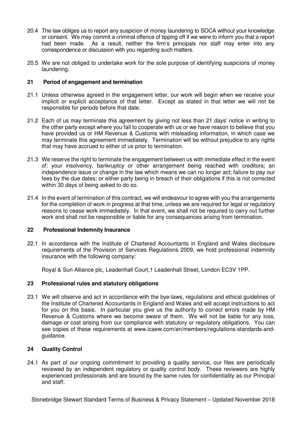- 20.4 The law obliges us to report any suspicion of money laundering to SOCA without your knowledge or consent. We may commit a criminal offence of tipping off if we were to inform you that a report had been made. As a result, neither the firm's principals nor staff may enter into any correspondence or discussion with you regarding such matters.
- 20.5 We are not obliged to undertake work for the sole purpose of identifying suspicions of money laundering.

## **21 Period of engagement and termination**

- 21.1 Unless otherwise agreed in the engagement letter, our work will begin when we receive your implicit or explicit acceptance of that letter. Except as stated in that letter we will not be responsible for periods before that date.
- 21.2 Each of us may terminate this agreement by giving not less than 21 days' notice in writing to the other party except where you fail to cooperate with us or we have reason to believe that you have provided us or HM Revenue & Customs with misleading information, in which case we may terminate this agreement immediately. Termination will be without prejudice to any rights that may have accrued to either of us prior to termination.
- 21.3 We reserve the right to terminate the engagement between us with immediate effect in the event of: your insolvency, bankruptcy or other arrangement being reached with creditors; an independence issue or change in the law which means we can no longer act; failure to pay our fees by the due dates; or either party being in breach of their obligations if this is not corrected within 30 days of being asked to do so.
- 21.4 In the event of termination of this contract, we will endeavour to agree with you the arrangements for the completion of work in progress at that time, unless we are required for legal or regulatory reasons to cease work immediately. In that event, we shall not be required to carry out further work and shall not be responsible or liable for any consequences arising from termination.

### **22 Professional Indemnity Insurance**

22.1 In accordance with the Institute of Chartered Accountants in England and Wales disclosure requirements of the Provision of Services Regulations 2009, we hold professional indemnity insurance with the following company:

Royal & Sun Alliance plc, Leadenhall Court,1 Leadenhall Street, London EC3V 1PP.

# **23 Professional rules and statutory obligations**

23.1 We will observe and act in accordance with the bye-laws, regulations and ethical guidelines of the Institute of Chartered Accountants in England and Wales and will accept instructions to act for you on this basis. In particular you give us the authority to correct errors made by HM Revenue & Customs where we become aware of them. We will not be liable for any loss, damage or cost arising from our compliance with statutory or regulatory obligations. You can see copies of these requirements at www.icaew.com/en/members/regulations-standards-andguidance.

### **24 Quality Control**

24.1 As part of our ongoing commitment to providing a quality service, our files are periodically reviewed by an independent regulatory or quality control body. These reviewers are highly experienced professionals and are bound by the same rules for confidentiality as our Principal and staff.

Stonebridge Stewart Standard Terms of Business & Privacy Statement – Updated November 2018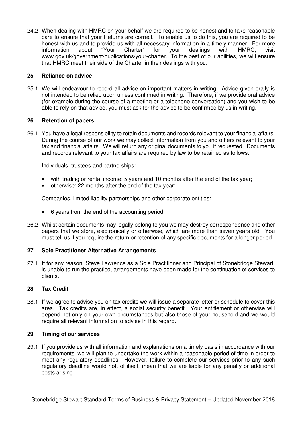24.2 When dealing with HMRC on your behalf we are required to be honest and to take reasonable care to ensure that your Returns are correct. To enable us to do this, you are required to be honest with us and to provide us with all necessary information in a timely manner. For more information about "Your Charter" for your dealings with HMRC, visit www.gov.uk/government/publications/your-charter. To the best of our abilities, we will ensure that HMRC meet their side of the Charter in their dealings with you.

### **25 Reliance on advice**

25.1 We will endeavour to record all advice on important matters in writing. Advice given orally is not intended to be relied upon unless confirmed in writing. Therefore, if we provide oral advice (for example during the course of a meeting or a telephone conversation) and you wish to be able to rely on that advice, you must ask for the advice to be confirmed by us in writing.

## **26 Retention of papers**

26.1 You have a legal responsibility to retain documents and records relevant to your financial affairs. During the course of our work we may collect information from you and others relevant to your tax and financial affairs. We will return any original documents to you if requested. Documents and records relevant to your tax affairs are required by law to be retained as follows:

Individuals, trustees and partnerships:

- with trading or rental income: 5 years and 10 months after the end of the tax year;
- otherwise: 22 months after the end of the tax year;

Companies, limited liability partnerships and other corporate entities:

- 6 years from the end of the accounting period.
- 26.2 Whilst certain documents may legally belong to you we may destroy correspondence and other papers that we store, electronically or otherwise, which are more than seven years old. You must tell us if you require the return or retention of any specific documents for a longer period.

### **27 Sole Practitioner Alternative Arrangements**

27.1 If for any reason, Steve Lawrence as a Sole Practitioner and Principal of Stonebridge Stewart, is unable to run the practice, arrangements have been made for the continuation of services to clients.

### **28 Tax Credit**

28.1 If we agree to advise you on tax credits we will issue a separate letter or schedule to cover this area. Tax credits are, in effect, a social security benefit. Your entitlement or otherwise will depend not only on your own circumstances but also those of your household and we would require all relevant information to advise in this regard.

### **29 Timing of our services**

29.1 If you provide us with all information and explanations on a timely basis in accordance with our requirements, we will plan to undertake the work within a reasonable period of time in order to meet any regulatory deadlines. However, failure to complete our services prior to any such regulatory deadline would not, of itself, mean that we are liable for any penalty or additional costs arising.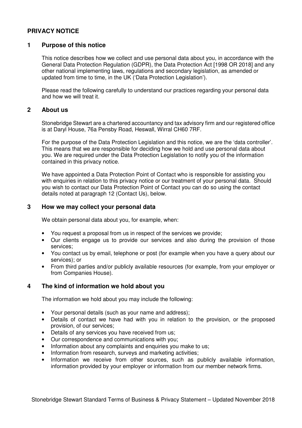# **PRIVACY NOTICE**

## **1 Purpose of this notice**

This notice describes how we collect and use personal data about you, in accordance with the General Data Protection Regulation (GDPR), the Data Protection Act [1998 OR 2018] and any other national implementing laws, regulations and secondary legislation, as amended or updated from time to time, in the UK ('Data Protection Legislation').

Please read the following carefully to understand our practices regarding your personal data and how we will treat it.

# **2 About us**

Stonebridge Stewart are a chartered accountancy and tax advisory firm and our registered office is at Daryl House, 76a Pensby Road, Heswall, Wirral CH60 7RF.

For the purpose of the Data Protection Legislation and this notice, we are the 'data controller'. This means that we are responsible for deciding how we hold and use personal data about you. We are required under the Data Protection Legislation to notify you of the information contained in this privacy notice.

We have appointed a Data Protection Point of Contact who is responsible for assisting you with enquiries in relation to this privacy notice or our treatment of your personal data. Should you wish to contact our Data Protection Point of Contact you can do so using the contact details noted at paragraph 12 (Contact Us), below.

### **3 How we may collect your personal data**

We obtain personal data about you, for example, when:

- You request a proposal from us in respect of the services we provide;
- Our clients engage us to provide our services and also during the provision of those services;
- You contact us by email, telephone or post (for example when you have a query about our services); or
- From third parties and/or publicly available resources (for example, from your employer or from Companies House).

### **4 The kind of information we hold about you**

The information we hold about you may include the following:

- Your personal details (such as your name and address);
- Details of contact we have had with you in relation to the provision, or the proposed provision, of our services;
- Details of any services you have received from us;
- Our correspondence and communications with you;
- Information about any complaints and enquiries you make to us;
- Information from research, surveys and marketing activities;
- Information we receive from other sources, such as publicly available information, information provided by your employer or information from our member network firms.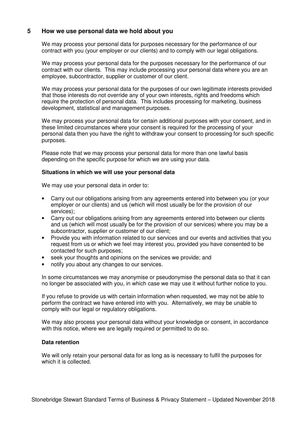# **5 How we use personal data we hold about you**

We may process your personal data for purposes necessary for the performance of our contract with you (your employer or our clients) and to comply with our legal obligations.

We may process your personal data for the purposes necessary for the performance of our contract with our clients. This may include processing your personal data where you are an employee, subcontractor, supplier or customer of our client.

We may process your personal data for the purposes of our own legitimate interests provided that those interests do not override any of your own interests, rights and freedoms which require the protection of personal data. This includes processing for marketing, business development, statistical and management purposes.

We may process your personal data for certain additional purposes with your consent, and in these limited circumstances where your consent is required for the processing of your personal data then you have the right to withdraw your consent to processing for such specific purposes.

Please note that we may process your personal data for more than one lawful basis depending on the specific purpose for which we are using your data.

#### **Situations in which we will use your personal data**

We may use your personal data in order to:

- Carry out our obligations arising from any agreements entered into between you (or your employer or our clients) and us (which will most usually be for the provision of our services);
- Carry out our obligations arising from any agreements entered into between our clients and us (which will most usually be for the provision of our services) where you may be a subcontractor, supplier or customer of our client;
- Provide you with information related to our services and our events and activities that you request from us or which we feel may interest you, provided you have consented to be contacted for such purposes;
- seek your thoughts and opinions on the services we provide; and
- notify you about any changes to our services.

In some circumstances we may anonymise or pseudonymise the personal data so that it can no longer be associated with you, in which case we may use it without further notice to you.

If you refuse to provide us with certain information when requested, we may not be able to perform the contract we have entered into with you. Alternatively, we may be unable to comply with our legal or regulatory obligations.

We may also process your personal data without your knowledge or consent, in accordance with this notice, where we are legally required or permitted to do so.

#### **Data retention**

We will only retain your personal data for as long as is necessary to fulfil the purposes for which it is collected.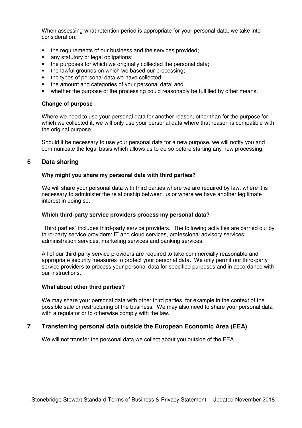When assessing what retention period is appropriate for your personal data, we take into consideration:

- the requirements of our business and the services provided;
- any statutory or legal obligations;
- the purposes for which we originally collected the personal data;
- the lawful grounds on which we based our processing;
- the types of personal data we have collected;
- the amount and categories of your personal data; and
- whether the purpose of the processing could reasonably be fulfilled by other means.

#### **Change of purpose**

Where we need to use your personal data for another reason, other than for the purpose for which we collected it, we will only use your personal data where that reason is compatible with the original purpose.

Should it be necessary to use your personal data for a new purpose, we will notify you and communicate the legal basis which allows us to do so before starting any new processing.

### **6 Data sharing**

#### **Why might you share my personal data with third parties?**

We will share your personal data with third parties where we are required by law, where it is necessary to administer the relationship between us or where we have another legitimate interest in doing so.

#### **Which third-party service providers process my personal data?**

"Third parties" includes third-party service providers. The following activities are carried out by third-party service providers: IT and cloud services, professional advisory services, administration services, marketing services and banking services.

All of our third-party service providers are required to take commercially reasonable and appropriate security measures to protect your personal data. We only permit our third-party service providers to process your personal data for specified purposes and in accordance with our instructions.

#### **What about other third parties?**

We may share your personal data with other third parties, for example in the context of the possible sale or restructuring of the business. We may also need to share your personal data with a regulator or to otherwise comply with the law.

### **7 Transferring personal data outside the European Economic Area (EEA)**

We will not transfer the personal data we collect about you outside of the EEA.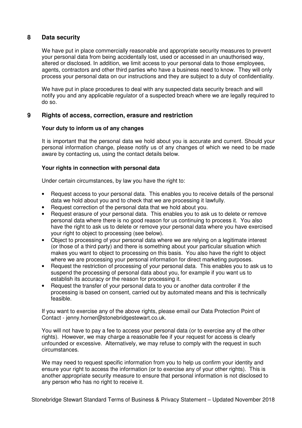# **8 Data security**

We have put in place commercially reasonable and appropriate security measures to prevent your personal data from being accidentally lost, used or accessed in an unauthorised way, altered or disclosed. In addition, we limit access to your personal data to those employees, agents, contractors and other third parties who have a business need to know. They will only process your personal data on our instructions and they are subject to a duty of confidentiality.

We have put in place procedures to deal with any suspected data security breach and will notify you and any applicable regulator of a suspected breach where we are legally required to do so.

# **9 Rights of access, correction, erasure and restriction**

### **Your duty to inform us of any changes**

It is important that the personal data we hold about you is accurate and current. Should your personal information change, please notify us of any changes of which we need to be made aware by contacting us, using the contact details below.

### **Your rights in connection with personal data**

Under certain circumstances, by law you have the right to:

- Request access to your personal data. This enables you to receive details of the personal data we hold about you and to check that we are processing it lawfully.
- Request correction of the personal data that we hold about you.
- Request erasure of your personal data. This enables you to ask us to delete or remove personal data where there is no good reason for us continuing to process it. You also have the right to ask us to delete or remove your personal data where you have exercised your right to object to processing (see below).
- Object to processing of your personal data where we are relying on a legitimate interest (or those of a third party) and there is something about your particular situation which makes you want to object to processing on this basis. You also have the right to object where we are processing your personal information for direct marketing purposes.
- Request the restriction of processing of your personal data. This enables you to ask us to suspend the processing of personal data about you, for example if you want us to establish its accuracy or the reason for processing it.
- Request the transfer of your personal data to you or another data controller if the processing is based on consent, carried out by automated means and this is technically feasible.

If you want to exercise any of the above rights, please email our Data Protection Point of Contact - jenny.horner@stonebridgestewart.co.uk.

You will not have to pay a fee to access your personal data (or to exercise any of the other rights). However, we may charge a reasonable fee if your request for access is clearly unfounded or excessive. Alternatively, we may refuse to comply with the request in such circumstances.

We may need to request specific information from you to help us confirm your identity and ensure your right to access the information (or to exercise any of your other rights). This is another appropriate security measure to ensure that personal information is not disclosed to any person who has no right to receive it.